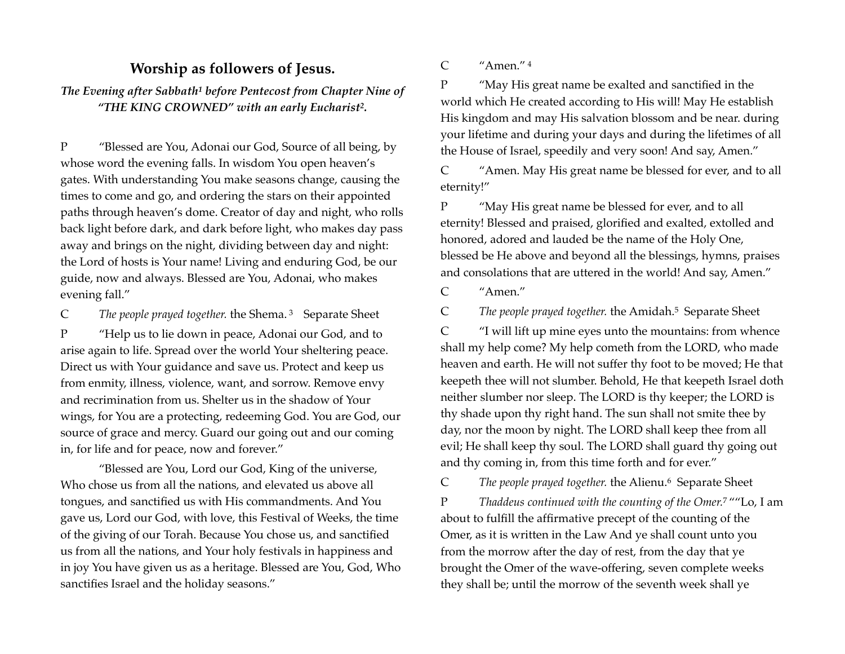## <span id="page-0-0"></span>**Worship as followers of Jesus.**

*TheEvening after Sabbath<sup>[1](#page-3-0)</sup> before Pentecost from Chapter Nine of* "THE KING CROWNED" with an early Eucharist<sup>[2](#page-3-1)</sup>.

P "Blessed are You, Adonai our God, Source of all being, by whose word the evening falls. In wisdom You open heaven's gates. With understanding You make seasons change, causing the times to come and go, and ordering the stars on their appointed paths through heaven's dome. Creator of day and night, who rolls back light before dark, and dark before light, who makes day pass away and brings on the night, dividing between day and night: the Lord of hosts is Your name! Living and enduring God, be our guide, now and always. Blessed are You, Adonai, who makes evening fall."

C The people prayed together. the Shema. <sup>[3](#page-3-2)</sup> Separate Sheet

P "Help us to lie down in peace, Adonai our God, and to arise again to life. Spread over the world Your sheltering peace. Direct us with Your guidance and save us. Protect and keep us from enmity, illness, violence, want, and sorrow. Remove envy and recrimination from us. Shelter us in the shadow of Your wings, for You are a protecting, redeeming God. You are God, our source of grace and mercy. Guard our going out and our coming in, for life and for peace, now and forever."

"Blessed are You, Lord our God, King of the universe, Who chose us from all the nations, and elevated us above all tongues, and sanctified us with His commandments. And You gave us, Lord our God, with love, this Festival of Weeks, the time of the giving of our Torah. Because You chose us, and sanctified us from all the nations, and Your holy festivals in happiness and in joy You have given us as a heritage. Blessed are You, God, Who sanctifies Israel and the holiday seasons."

<span id="page-0-3"></span>C "Amen." [4](#page-3-3)

<span id="page-0-1"></span>P "May His great name be exalted and sanctified in the world which He created according to His will! May He establish His kingdom and may His salvation blossom and be near. during your lifetime and during your days and during the lifetimes of all the House of Israel, speedily and very soon! And say, Amen."

C "Amen. May His great name be blessed for ever, and to all eternity!"

P "May His great name be blessed for ever, and to all eternity! Blessed and praised, glorified and exalted, extolled and honored, adored and lauded be the name of the Holy One, blessed be He above and beyond all the blessings, hymns, praises and consolations that are uttered in the world! And say, Amen."

C "Amen."

<span id="page-0-4"></span><span id="page-0-2"></span>C The people prayed together[.](#page-3-4) the Amidah.<sup>[5](#page-3-4)</sup> Separate Sheet

C "I will lift up mine eyes unto the mountains: from whence shall my help come? My help cometh from the LORD, who made heaven and earth. He will not suffer thy foot to be moved; He that keepeth thee will not slumber. Behold, He that keepeth Israel doth neither slumber nor sleep. The LORD is thy keeper; the LORD is thy shade upon thy right hand. The sun shall not smite thee by day, nor the moon by night. The LORD shall keep thee from all evil; He shall keep thy soul. The LORD shall guard thy going out and thy coming in, from this time forth and for ever."

<span id="page-0-6"></span><span id="page-0-5"></span>C The people prayed together. the Alienu.<sup>6</sup> Separate Sheet

P *Thaddeus continued with the counting of the Omer.* ""Lo, I am [7](#page-3-6) about to fulfill the affirmative precept of the counting of the Omer, as it is written in the Law And ye shall count unto you from the morrow after the day of rest, from the day that ye brought the Omer of the wave-offering, seven complete weeks they shall be; until the morrow of the seventh week shall ye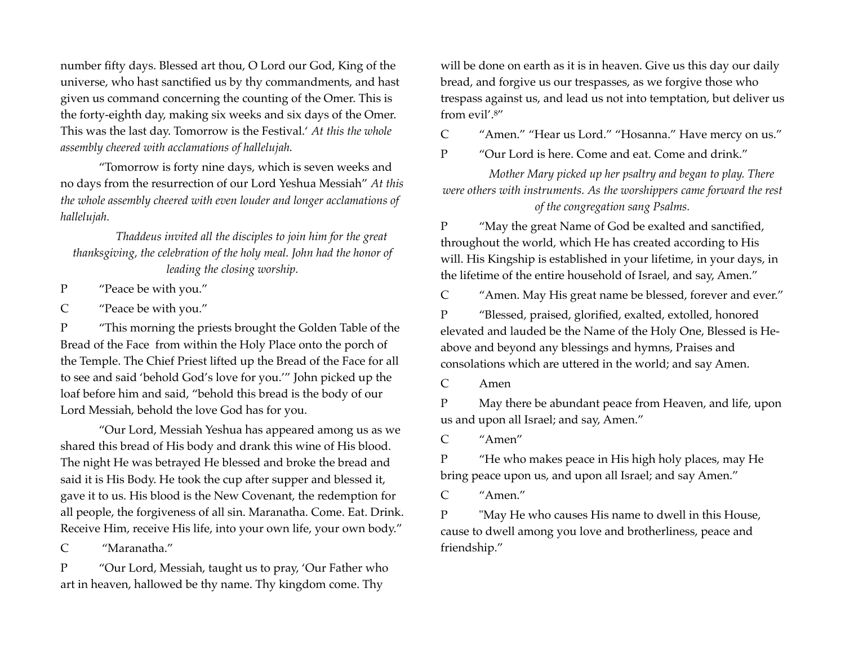number fifty days. Blessed art thou, O Lord our God, King of the universe, who hast sanctified us by thy commandments, and hast given us command concerning the counting of the Omer. This is the forty-eighth day, making six weeks and six days of the Omer. This was the last day. Tomorrow is the Festival.' *At this the whole assembly cheered with acclamations of hallelujah.* 

"Tomorrow is forty nine days, which is seven weeks and no days from the resurrection of our Lord Yeshua Messiah" *At this the whole assembly cheered with even louder and longer acclamations of hallelujah.*

*Thaddeus invited all the disciples to join him for the great thanksgiving, the celebration of the holy meal. John had the honor of leading the closing worship.*

P "Peace be with you."

C "Peace be with you."

P "This morning the priests brought the Golden Table of the Bread of the Face from within the Holy Place onto the porch of the Temple. The Chief Priest lifted up the Bread of the Face for all to see and said 'behold God's love for you.'" John picked up the loaf before him and said, "behold this bread is the body of our Lord Messiah, behold the love God has for you.

"Our Lord, Messiah Yeshua has appeared among us as we shared this bread of His body and drank this wine of His blood. The night He was betrayed He blessed and broke the bread and said it is His Body. He took the cup after supper and blessed it, gave it to us. His blood is the New Covenant, the redemption for all people, the forgiveness of all sin. Maranatha. Come. Eat. Drink. Receive Him, receive His life, into your own life, your own body."

C "Maranatha."

P "Our Lord, Messiah, taught us to pray, 'Our Father who art in heaven, hallowed be thy name. Thy kingdom come. Thy

will be done on earth as it is in heaven. Give us this day our daily bread, and forgive us our trespasses, as we forgive those who trespass against us, and lead us not into temptation, but deliver us from evil'.[8"](#page-3-7)

<span id="page-1-0"></span>C "Amen." "Hear us Lord." "Hosanna." Have mercy on us."

P "Our Lord is here. Come and eat. Come and drink."

*Mother Mary picked up her psaltry and began to play. There were others with instruments. As the worshippers came forward the rest of the congregation sang Psalms.* 

P "May the great Name of God be exalted and sanctified, throughout the world, which He has created according to His will. His Kingship is established in your lifetime, in your days, in the lifetime of the entire household of Israel, and say, Amen."

C "Amen. May His great name be blessed, forever and ever."

P "Blessed, praised, glorified, exalted, extolled, honored elevated and lauded be the Name of the Holy One, Blessed is Heabove and beyond any blessings and hymns, Praises and consolations which are uttered in the world; and say Amen.

C Amen

P May there be abundant peace from Heaven, and life, upon us and upon all Israel; and say, Amen."

C "Amen"

P "He who makes peace in His high holy places, may He bring peace upon us, and upon all Israel; and say Amen."

C "Amen."

P "May He who causes His name to dwell in this House, cause to dwell among you love and brotherliness, peace and friendship."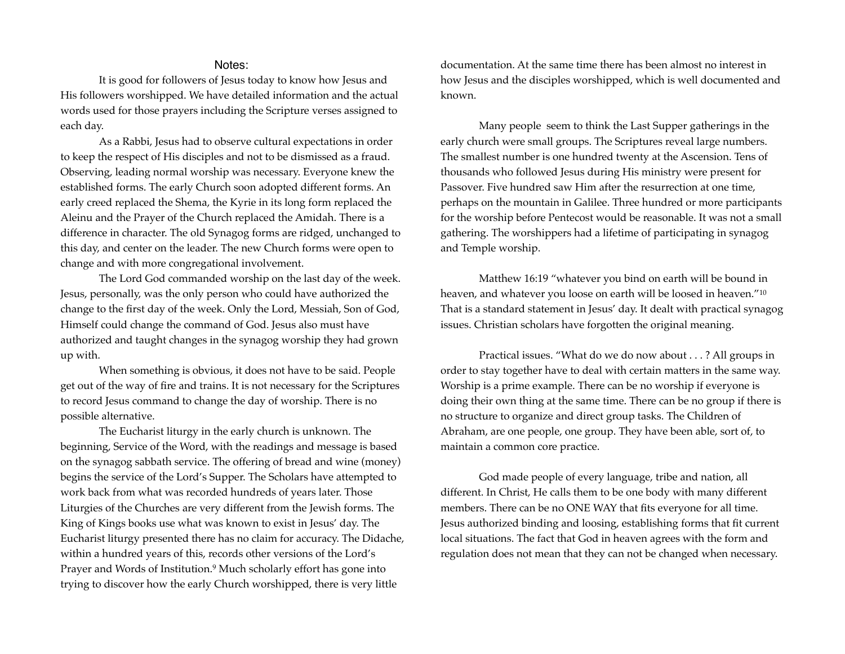## Notes:

It is good for followers of Jesus today to know how Jesus and His followers worshipped. We have detailed information and the actual words used for those prayers including the Scripture verses assigned to each day.

As a Rabbi, Jesus had to observe cultural expectations in order to keep the respect of His disciples and not to be dismissed as a fraud. Observing, leading normal worship was necessary. Everyone knew the established forms. The early Church soon adopted different forms. An early creed replaced the Shema, the Kyrie in its long form replaced the Aleinu and the Prayer of the Church replaced the Amidah. There is a difference in character. The old Synagog forms are ridged, unchanged to this day, and center on the leader. The new Church forms were open to change and with more congregational involvement.

The Lord God commanded worship on the last day of the week. Jesus, personally, was the only person who could have authorized the change to the first day of the week. Only the Lord, Messiah, Son of God, Himself could change the command of God. Jesus also must have authorized and taught changes in the synagog worship they had grown up with.

When something is obvious, it does not have to be said. People get out of the way of fire and trains. It is not necessary for the Scriptures to record Jesus command to change the day of worship. There is no possible alternative.

<span id="page-2-0"></span>The Eucharist liturgy in the early church is unknown. The beginning, Service of the Word, with the readings and message is based on the synagog sabbath service. The offering of bread and wine (money) begins the service of the Lord's Supper. The Scholars have attempted to work back from what was recorded hundreds of years later. Those Liturgies of the Churches are very different from the Jewish forms. The King of Kings books use what was known to exist in Jesus' day. The Eucharist liturgy presented there has no claim for accuracy. The Didache, within a hundred years of this, records other versions of the Lord's Prayer and Words of Institution.<sup>[9](#page-3-8)</sup> Much scholarly effort has gone into trying to discover how the early Church worshipped, there is very little

documentation. At the same time there has been almost no interest in how Jesus and the disciples worshipped, which is well documented and known.

Many people seem to think the Last Supper gatherings in the early church were small groups. The Scriptures reveal large numbers. The smallest number is one hundred twenty at the Ascension. Tens of thousands who followed Jesus during His ministry were present for Passover. Five hundred saw Him after the resurrection at one time, perhaps on the mountain in Galilee. Three hundred or more participants for the worship before Pentecost would be reasonable. It was not a small gathering. The worshippers had a lifetime of participating in synagog and Temple worship.

<span id="page-2-1"></span>Matthew 16:19 "whatever you bind on earth will be bound in heaven, and whatever you loose on earth will be loosed in heaven."[10](#page-3-9) That is a standard statement in Jesus' day. It dealt with practical synagog issues. Christian scholars have forgotten the original meaning.

Practical issues. "What do we do now about . . . ? All groups in order to stay together have to deal with certain matters in the same way. Worship is a prime example. There can be no worship if everyone is doing their own thing at the same time. There can be no group if there is no structure to organize and direct group tasks. The Children of Abraham, are one people, one group. They have been able, sort of, to maintain a common core practice.

God made people of every language, tribe and nation, all different. In Christ, He calls them to be one body with many different members. There can be no ONE WAY that fits everyone for all time. Jesus authorized binding and loosing, establishing forms that fit current local situations. The fact that God in heaven agrees with the form and regulation does not mean that they can not be changed when necessary.